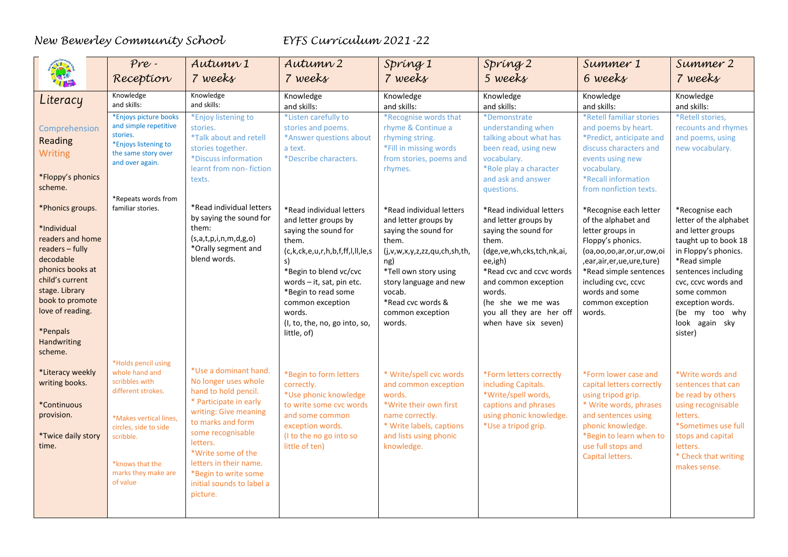|                                                                                                                                                                                                                | Pre.<br>Reception                                                                                                                                                                                   | Autumn 1<br>7 weeks                                                                                                                                                                                                                                                                             | Autumn 2<br>7 weeks                                                                                                                                                                                                                                                                     | Spring 1<br>7 weeks                                                                                                                                                                                                                      | Spring 2<br>5 weeks                                                                                                                                                                                                                                                    | Summer 1<br>6 weeks                                                                                                                                                                                                                                   | Summer 2<br>7 weeks                                                                                                                                                                                                                                            |
|----------------------------------------------------------------------------------------------------------------------------------------------------------------------------------------------------------------|-----------------------------------------------------------------------------------------------------------------------------------------------------------------------------------------------------|-------------------------------------------------------------------------------------------------------------------------------------------------------------------------------------------------------------------------------------------------------------------------------------------------|-----------------------------------------------------------------------------------------------------------------------------------------------------------------------------------------------------------------------------------------------------------------------------------------|------------------------------------------------------------------------------------------------------------------------------------------------------------------------------------------------------------------------------------------|------------------------------------------------------------------------------------------------------------------------------------------------------------------------------------------------------------------------------------------------------------------------|-------------------------------------------------------------------------------------------------------------------------------------------------------------------------------------------------------------------------------------------------------|----------------------------------------------------------------------------------------------------------------------------------------------------------------------------------------------------------------------------------------------------------------|
| Literacy                                                                                                                                                                                                       | Knowledge<br>and skills:                                                                                                                                                                            | Knowledge<br>and skills:                                                                                                                                                                                                                                                                        | Knowledge<br>and skills:                                                                                                                                                                                                                                                                | Knowledge<br>and skills:                                                                                                                                                                                                                 | Knowledge<br>and skills:                                                                                                                                                                                                                                               | Knowledge<br>and skills:                                                                                                                                                                                                                              | Knowledge<br>and skills:                                                                                                                                                                                                                                       |
| Comprehension<br>Reading<br>Writing<br>*Floppy's phonics<br>scheme.                                                                                                                                            | *Enjoys picture books<br>and simple repetitive<br>stories.<br>*Enjoys listening to<br>the same story over<br>and over again.                                                                        | *Enjoy listening to<br>stories.<br><i><b>*Talk about and retell</b></i><br>stories together.<br>*Discuss information<br>learnt from non-fiction<br>texts.                                                                                                                                       | *Listen carefully to<br>stories and poems.<br>*Answer questions about<br>a text.<br>*Describe characters.                                                                                                                                                                               | *Recognise words that<br>rhyme & Continue a<br>rhyming string.<br>*Fill in missing words<br>from stories, poems and<br>rhymes.                                                                                                           | *Demonstrate<br>understanding when<br>talking about what has<br>been read, using new<br>vocabulary.<br>*Role play a character<br>and ask and answer<br>questions.                                                                                                      | *Retell familiar stories<br>and poems by heart.<br>*Predict, anticipate and<br>discuss characters and<br>events using new<br>vocabulary.<br>*Recall information<br>from nonfiction texts.                                                             | *Retell stories.<br>recounts and rhymes<br>and poems, using<br>new vocabulary.                                                                                                                                                                                 |
| *Phonics groups.<br>*Individual<br>readers and home<br>readers - fully<br>decodable<br>phonics books at<br>child's current<br>stage. Library<br>book to promote<br>love of reading.<br>*Penpals<br>Handwriting | *Repeats words from<br>familiar stories.                                                                                                                                                            | *Read individual letters<br>by saying the sound for<br>them:<br>(s,a,t,p,i,n,m,d,g,o)<br>*Orally segment and<br>blend words.                                                                                                                                                                    | *Read individual letters<br>and letter groups by<br>saying the sound for<br>them.<br>(c,k,ck,e,u,r,h,b,f,ff,l,ll,le,s<br>s)<br>*Begin to blend vc/cvc<br>words - it, sat, pin etc.<br>*Begin to read some<br>common exception<br>words.<br>(I, to, the, no, go into, so,<br>little, of) | *Read individual letters<br>and letter groups by<br>saying the sound for<br>them.<br>(j,v,w,x,y,z,zz,qu,ch,sh,th,<br>ng)<br>*Tell own story using<br>story language and new<br>vocab.<br>*Read cvc words &<br>common exception<br>words. | *Read individual letters<br>and letter groups by<br>saying the sound for<br>them.<br>(dge, ve, wh, cks, tch, nk, ai,<br>ee,igh)<br>*Read cvc and ccvc words<br>and common exception<br>words.<br>(he she we me was<br>you all they are her off<br>when have six seven) | *Recognise each letter<br>of the alphabet and<br>letter groups in<br>Floppy's phonics.<br>(oa,oo,oo,ar,or,ur,ow,oi<br>, ear, air, er, ue, ure, ture)<br>*Read simple sentences<br>including cvc, ccvc<br>words and some<br>common exception<br>words. | *Recognise each<br>letter of the alphabet<br>and letter groups<br>taught up to book 18<br>in Floppy's phonics.<br>*Read simple<br>sentences including<br>cvc, ccvc words and<br>some common<br>exception words.<br>(be my too why<br>look again sky<br>sister) |
| scheme.<br>*Literacy weekly<br>writing books.<br>*Continuous<br>provision.<br>*Twice daily story<br>time.                                                                                                      | *Holds pencil using<br>whole hand and<br>scribbles with<br>different strokes.<br>*Makes vertical lines,<br>circles, side to side<br>scribble.<br>*knows that the<br>marks they make are<br>of value | *Use a dominant hand.<br>No longer uses whole<br>hand to hold pencil.<br>* Participate in early<br>writing: Give meaning<br>to marks and form<br>some recognisable<br>letters.<br>*Write some of the<br>letters in their name.<br>*Begin to write some<br>initial sounds to label a<br>picture. | *Begin to form letters<br>correctly.<br>*Use phonic knowledge<br>to write some cvc words<br>and some common<br>exception words.<br>(I to the no go into so<br>little of ten)                                                                                                            | * Write/spell cvc words<br>and common exception<br>words.<br>*Write their own first<br>name correctly.<br>* Write labels, captions<br>and lists using phonic<br>knowledge.                                                               | *Form letters correctly<br>including Capitals.<br>*Write/spell words,<br>captions and phrases<br>using phonic knowledge.<br>*Use a tripod grip.                                                                                                                        | *Form lower case and<br>capital letters correctly<br>using tripod grip.<br>* Write words, phrases<br>and sentences using<br>phonic knowledge.<br>*Begin to learn when to<br>use full stops and<br>Capital letters.                                    | *Write words and<br>sentences that can<br>be read by others<br>using recognisable<br>letters.<br>*Sometimes use full<br>stops and capital<br>letters.<br>* Check that writing<br>makes sense.                                                                  |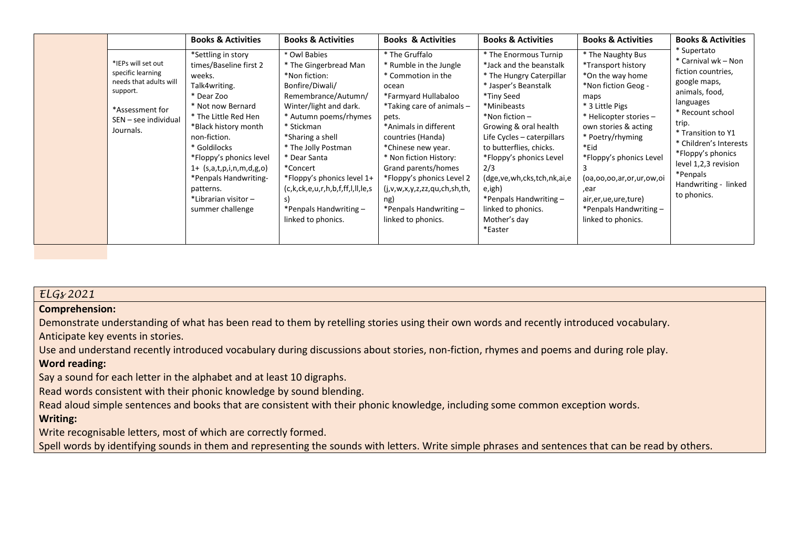|                                                                                                                                       | <b>Books &amp; Activities</b>                                                                                                                                                                                                                                                                                                         | <b>Books &amp; Activities</b>                                                                                                                                                                                                                                                                                                                                      | <b>Books &amp; Activities</b>                                                                                                                                                                                                                                                                                                                                                       | <b>Books &amp; Activities</b>                                                                                                                                                                                                                                                                                                                                                                          | <b>Books &amp; Activities</b>                                                                                                                                                                                                                                                                                                        | <b>Books &amp; Activities</b>                                                                                                                                                                                                                                                        |
|---------------------------------------------------------------------------------------------------------------------------------------|---------------------------------------------------------------------------------------------------------------------------------------------------------------------------------------------------------------------------------------------------------------------------------------------------------------------------------------|--------------------------------------------------------------------------------------------------------------------------------------------------------------------------------------------------------------------------------------------------------------------------------------------------------------------------------------------------------------------|-------------------------------------------------------------------------------------------------------------------------------------------------------------------------------------------------------------------------------------------------------------------------------------------------------------------------------------------------------------------------------------|--------------------------------------------------------------------------------------------------------------------------------------------------------------------------------------------------------------------------------------------------------------------------------------------------------------------------------------------------------------------------------------------------------|--------------------------------------------------------------------------------------------------------------------------------------------------------------------------------------------------------------------------------------------------------------------------------------------------------------------------------------|--------------------------------------------------------------------------------------------------------------------------------------------------------------------------------------------------------------------------------------------------------------------------------------|
| *IEPs will set out<br>specific learning<br>needs that adults will<br>support.<br>*Assessment for<br>SEN - see individual<br>Journals. | *Settling in story<br>times/Baseline first 2<br>weeks.<br>Talk4writing.<br>* Dear Zoo<br>* Not now Bernard<br>* The Little Red Hen<br>*Black history month<br>non-fiction.<br>* Goldilocks<br>*Floppy's phonics level<br>$1 + (s,a,t,p,i,n,m,d,g,o)$<br>*Penpals Handwriting-<br>patterns.<br>*Librarian visitor-<br>summer challenge | * Owl Babies<br>* The Gingerbread Man<br>*Non fiction:<br>Bonfire/Diwali/<br>Remembrance/Autumn/<br>Winter/light and dark.<br>* Autumn poems/rhymes<br>* Stickman<br>*Sharing a shell<br>* The Jolly Postman<br>* Dear Santa<br>*Concert<br>*Floppy's phonics level 1+<br>(c,k,ck,e,u,r,h,b,f,ff,l,ll,le,s<br>s)<br>*Penpals Handwriting $-$<br>linked to phonics. | * The Gruffalo<br>* Rumble in the Jungle<br>* Commotion in the<br>ocean<br>*Farmyard Hullabaloo<br>$*$ Taking care of animals $-$<br>pets.<br>*Animals in different<br>countries (Handa)<br>*Chinese new year.<br>* Non fiction History:<br>Grand parents/homes<br>*Floppy's phonics Level 2<br>(j,v,w,x,y,z,zz,qu,ch,sh,th,<br>ng)<br>*Penpals Handwriting -<br>linked to phonics. | * The Enormous Turnip<br>*Jack and the beanstalk<br>* The Hungry Caterpillar<br>* Jasper's Beanstalk<br>*Tiny Seed<br>*Minibeasts<br>$*$ Non fiction –<br>Growing & oral health<br>Life Cycles - caterpillars<br>to butterflies, chicks.<br>*Floppy's phonics Level<br>2/3<br>(dge, ve, wh, cks, tch, nk, ai, e<br>e,igh)<br>*Penpals Handwriting $-$<br>linked to phonics.<br>Mother's day<br>*Easter | * The Naughty Bus<br>*Transport history<br>*On the way home<br>*Non fiction Geog -<br>maps<br>* 3 Little Pigs<br>* Helicopter stories -<br>own stories & acting<br>* Poetry/rhyming<br>*Eid<br>*Floppy's phonics Level<br>(oa,oo,oo,ar,or,ur,ow,oi<br>ear,<br>air, er, ue, ure, ture)<br>*Penpals Handwriting-<br>linked to phonics. | * Supertato<br>* Carnival wk - Non<br>fiction countries,<br>google maps,<br>animals, food,<br>languages<br>* Recount school<br>trip.<br>* Transition to Y1<br>* Children's Interests<br>*Floppy's phonics<br>level 1,2,3 revision<br>*Penpals<br>Handwriting - linked<br>to phonics. |

# *ELGs 2021*

#### **Comprehension:**

Demonstrate understanding of what has been read to them by retelling stories using their own words and recently introduced vocabulary.

Anticipate key events in stories.

Use and understand recently introduced vocabulary during discussions about stories, non-fiction, rhymes and poems and during role play.

# **Word reading:**

Say a sound for each letter in the alphabet and at least 10 digraphs.

Read words consistent with their phonic knowledge by sound blending.

Read aloud simple sentences and books that are consistent with their phonic knowledge, including some common exception words.

# **Writing:**

Write recognisable letters, most of which are correctly formed.

Spell words by identifying sounds in them and representing the sounds with letters. Write simple phrases and sentences that can be read by others.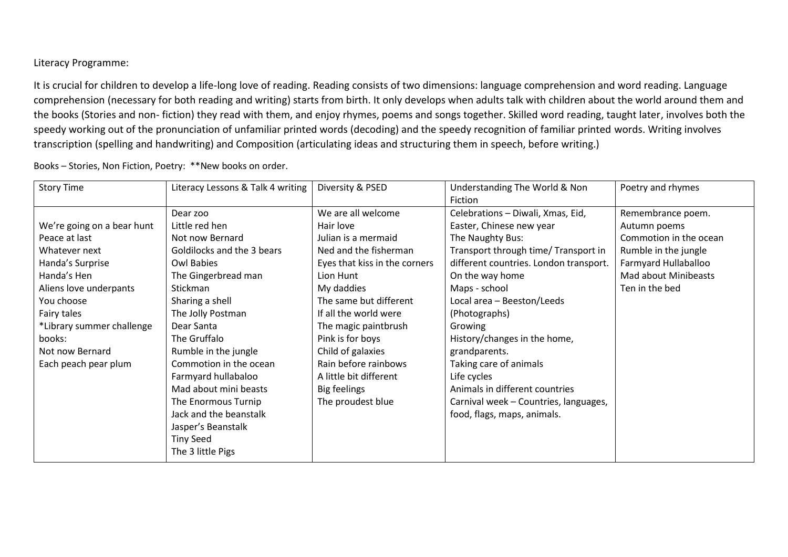Literacy Programme:

It is crucial for children to develop a life-long love of reading. Reading consists of two dimensions: language comprehension and word reading. Language comprehension (necessary for both reading and writing) starts from birth. It only develops when adults talk with children about the world around them and the books (Stories and non- fiction) they read with them, and enjoy rhymes, poems and songs together. Skilled word reading, taught later, involves both the speedy working out of the pronunciation of unfamiliar printed words (decoding) and the speedy recognition of familiar printed words. Writing involves transcription (spelling and handwriting) and Composition (articulating ideas and structuring them in speech, before writing.)

| <b>Story Time</b>          | Literacy Lessons & Talk 4 writing | Diversity & PSED              | Understanding The World & Non          | Poetry and rhymes      |
|----------------------------|-----------------------------------|-------------------------------|----------------------------------------|------------------------|
|                            |                                   |                               | Fiction                                |                        |
|                            | Dear zoo                          | We are all welcome            | Celebrations - Diwali, Xmas, Eid,      | Remembrance poem.      |
| We're going on a bear hunt | Little red hen                    | Hair love                     | Easter, Chinese new year               | Autumn poems           |
| Peace at last              | Not now Bernard                   | Julian is a mermaid           | The Naughty Bus:                       | Commotion in the ocean |
| Whatever next              | Goldilocks and the 3 bears        | Ned and the fisherman         | Transport through time/ Transport in   | Rumble in the jungle   |
| Handa's Surprise           | Owl Babies                        | Eyes that kiss in the corners | different countries. London transport. | Farmyard Hullaballoo   |
| Handa's Hen                | The Gingerbread man               | Lion Hunt                     | On the way home                        | Mad about Minibeasts   |
| Aliens love underpants     | Stickman                          | My daddies                    | Maps - school                          | Ten in the bed         |
| You choose                 | Sharing a shell                   | The same but different        | Local area - Beeston/Leeds             |                        |
| Fairy tales                | The Jolly Postman                 | If all the world were         | (Photographs)                          |                        |
| *Library summer challenge  | Dear Santa                        | The magic paintbrush          | Growing                                |                        |
| books:                     | The Gruffalo                      | Pink is for boys              | History/changes in the home,           |                        |
| Not now Bernard            | Rumble in the jungle              | Child of galaxies             | grandparents.                          |                        |
| Each peach pear plum       | Commotion in the ocean            | Rain before rainbows          | Taking care of animals                 |                        |
|                            | Farmyard hullabaloo               | A little bit different        | Life cycles                            |                        |
|                            | Mad about mini beasts             | Big feelings                  | Animals in different countries         |                        |
|                            | The Enormous Turnip               | The proudest blue             | Carnival week - Countries, languages,  |                        |
|                            | Jack and the beanstalk            |                               | food, flags, maps, animals.            |                        |
|                            | Jasper's Beanstalk                |                               |                                        |                        |
|                            | <b>Tiny Seed</b>                  |                               |                                        |                        |
|                            | The 3 little Pigs                 |                               |                                        |                        |

Books – Stories, Non Fiction, Poetry: \*\*New books on order.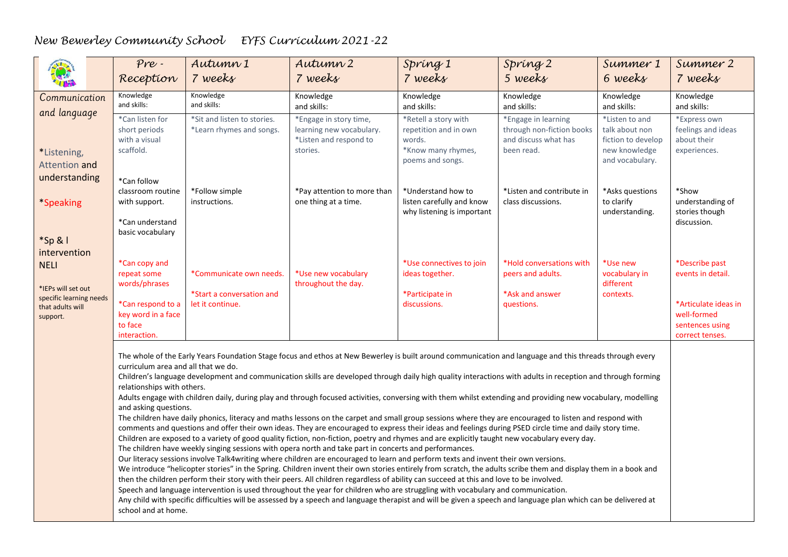|                                                         | $Pre -$<br>Reception                                                                                                                                                                                                                                                                                                                                                                                               | Autumn 1<br>7 weeks                                     | Autumn 2<br>7 weeks                                                                                                                                                                                                                                                                                                                                                                                                                              | Spring 1<br>7 weeks                                                                               | Spring 2<br>5 weeks                                                                    | Summer 1<br>6 weeks                                                                        | Summer 2<br>7 weeks                                                       |  |
|---------------------------------------------------------|--------------------------------------------------------------------------------------------------------------------------------------------------------------------------------------------------------------------------------------------------------------------------------------------------------------------------------------------------------------------------------------------------------------------|---------------------------------------------------------|--------------------------------------------------------------------------------------------------------------------------------------------------------------------------------------------------------------------------------------------------------------------------------------------------------------------------------------------------------------------------------------------------------------------------------------------------|---------------------------------------------------------------------------------------------------|----------------------------------------------------------------------------------------|--------------------------------------------------------------------------------------------|---------------------------------------------------------------------------|--|
|                                                         |                                                                                                                                                                                                                                                                                                                                                                                                                    |                                                         |                                                                                                                                                                                                                                                                                                                                                                                                                                                  |                                                                                                   |                                                                                        |                                                                                            |                                                                           |  |
| Communication<br>and language                           | Knowledge<br>and skills:                                                                                                                                                                                                                                                                                                                                                                                           | Knowledge<br>and skills:                                | Knowledge<br>and skills:                                                                                                                                                                                                                                                                                                                                                                                                                         | Knowledge<br>and skills:                                                                          | Knowledge<br>and skills:                                                               | Knowledge<br>and skills:                                                                   | Knowledge<br>and skills:                                                  |  |
| *Listening,<br>Attention and                            | *Can listen for<br>short periods<br>with a visual<br>scaffold.                                                                                                                                                                                                                                                                                                                                                     | *Sit and listen to stories.<br>*Learn rhymes and songs. | *Engage in story time,<br>learning new vocabulary.<br>*Listen and respond to<br>stories.                                                                                                                                                                                                                                                                                                                                                         | *Retell a story with<br>repetition and in own<br>words.<br>*Know many rhymes,<br>poems and songs. | *Engage in learning<br>through non-fiction books<br>and discuss what has<br>been read. | *Listen to and<br>talk about non<br>fiction to develop<br>new knowledge<br>and vocabulary. | *Express own<br>feelings and ideas<br>about their<br>experiences.         |  |
| understanding                                           | *Can follow<br>classroom routine                                                                                                                                                                                                                                                                                                                                                                                   | *Follow simple                                          | *Pay attention to more than                                                                                                                                                                                                                                                                                                                                                                                                                      | *Understand how to                                                                                | *Listen and contribute in                                                              | *Asks questions                                                                            | *Show                                                                     |  |
| *Speaking                                               | with support.<br>*Can understand                                                                                                                                                                                                                                                                                                                                                                                   | instructions.                                           | one thing at a time.                                                                                                                                                                                                                                                                                                                                                                                                                             | listen carefully and know<br>why listening is important                                           | class discussions.                                                                     | to clarify<br>understanding.                                                               | understanding of<br>stories though<br>discussion.                         |  |
| *Sp & I                                                 | basic vocabulary                                                                                                                                                                                                                                                                                                                                                                                                   |                                                         |                                                                                                                                                                                                                                                                                                                                                                                                                                                  |                                                                                                   |                                                                                        |                                                                                            |                                                                           |  |
| intervention                                            |                                                                                                                                                                                                                                                                                                                                                                                                                    |                                                         |                                                                                                                                                                                                                                                                                                                                                                                                                                                  |                                                                                                   | *Hold conversations with                                                               | *Use new                                                                                   |                                                                           |  |
| <b>NELI</b><br>*IEPs will set out                       | *Can copy and<br>repeat some<br>words/phrases                                                                                                                                                                                                                                                                                                                                                                      | *Communicate own needs.                                 | *Use new vocabulary<br>throughout the day.                                                                                                                                                                                                                                                                                                                                                                                                       | *Use connectives to join<br>ideas together.                                                       | peers and adults.                                                                      | vocabulary in<br>different                                                                 | *Describe past<br>events in detail.                                       |  |
| specific learning needs<br>that adults will<br>support. | *Can respond to a<br>key word in a face<br>to face<br>interaction.                                                                                                                                                                                                                                                                                                                                                 | *Start a conversation and<br>let it continue.           |                                                                                                                                                                                                                                                                                                                                                                                                                                                  | *Participate in<br>discussions.                                                                   | *Ask and answer<br>questions.                                                          | contexts.                                                                                  | *Articulate ideas in<br>well-formed<br>sentences using<br>correct tenses. |  |
|                                                         | curriculum area and all that we do.<br>relationships with others.                                                                                                                                                                                                                                                                                                                                                  |                                                         | The whole of the Early Years Foundation Stage focus and ethos at New Bewerley is built around communication and language and this threads through every<br>Children's language development and communication skills are developed through daily high quality interactions with adults in reception and through forming                                                                                                                           |                                                                                                   |                                                                                        |                                                                                            |                                                                           |  |
|                                                         | and asking questions.                                                                                                                                                                                                                                                                                                                                                                                              |                                                         | Adults engage with children daily, during play and through focused activities, conversing with them whilst extending and providing new vocabulary, modelling<br>The children have daily phonics, literacy and maths lessons on the carpet and small group sessions where they are encouraged to listen and respond with                                                                                                                          |                                                                                                   |                                                                                        |                                                                                            |                                                                           |  |
|                                                         | comments and questions and offer their own ideas. They are encouraged to express their ideas and feelings during PSED circle time and daily story time.<br>Children are exposed to a variety of good quality fiction, non-fiction, poetry and rhymes and are explicitly taught new vocabulary every day.<br>The children have weekly singing sessions with opera north and take part in concerts and performances. |                                                         |                                                                                                                                                                                                                                                                                                                                                                                                                                                  |                                                                                                   |                                                                                        |                                                                                            |                                                                           |  |
|                                                         |                                                                                                                                                                                                                                                                                                                                                                                                                    |                                                         | Our literacy sessions involve Talk4writing where children are encouraged to learn and perform texts and invent their own versions.<br>We introduce "helicopter stories" in the Spring. Children invent their own stories entirely from scratch, the adults scribe them and display them in a book and<br>then the children perform their story with their peers. All children regardless of ability can succeed at this and love to be involved. |                                                                                                   |                                                                                        |                                                                                            |                                                                           |  |
|                                                         | school and at home.                                                                                                                                                                                                                                                                                                                                                                                                |                                                         | Speech and language intervention is used throughout the year for children who are struggling with vocabulary and communication.<br>Any child with specific difficulties will be assessed by a speech and language therapist and will be given a speech and language plan which can be delivered at                                                                                                                                               |                                                                                                   |                                                                                        |                                                                                            |                                                                           |  |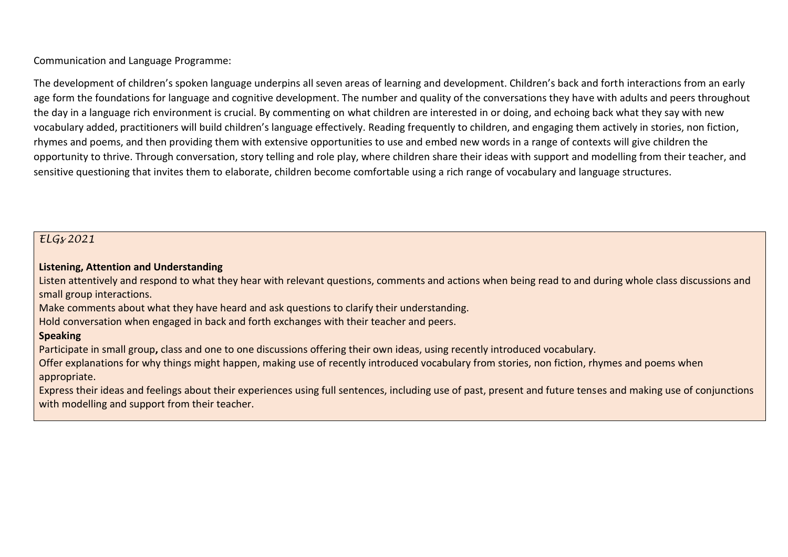Communication and Language Programme:

The development of children's spoken language underpins all seven areas of learning and development. Children's back and forth interactions from an early age form the foundations for language and cognitive development. The number and quality of the conversations they have with adults and peers throughout the day in a language rich environment is crucial. By commenting on what children are interested in or doing, and echoing back what they say with new vocabulary added, practitioners will build children's language effectively. Reading frequently to children, and engaging them actively in stories, non fiction, rhymes and poems, and then providing them with extensive opportunities to use and embed new words in a range of contexts will give children the opportunity to thrive. Through conversation, story telling and role play, where children share their ideas with support and modelling from their teacher, and sensitive questioning that invites them to elaborate, children become comfortable using a rich range of vocabulary and language structures.

### *ELGs 2021*

#### **Listening, Attention and Understanding**

Listen attentively and respond to what they hear with relevant questions, comments and actions when being read to and during whole class discussions and small group interactions.

Make comments about what they have heard and ask questions to clarify their understanding.

Hold conversation when engaged in back and forth exchanges with their teacher and peers.

#### **Speaking**

Participate in small group**,** class and one to one discussions offering their own ideas, using recently introduced vocabulary.

Offer explanations for why things might happen, making use of recently introduced vocabulary from stories, non fiction, rhymes and poems when appropriate.

Express their ideas and feelings about their experiences using full sentences, including use of past, present and future tenses and making use of conjunctions with modelling and support from their teacher.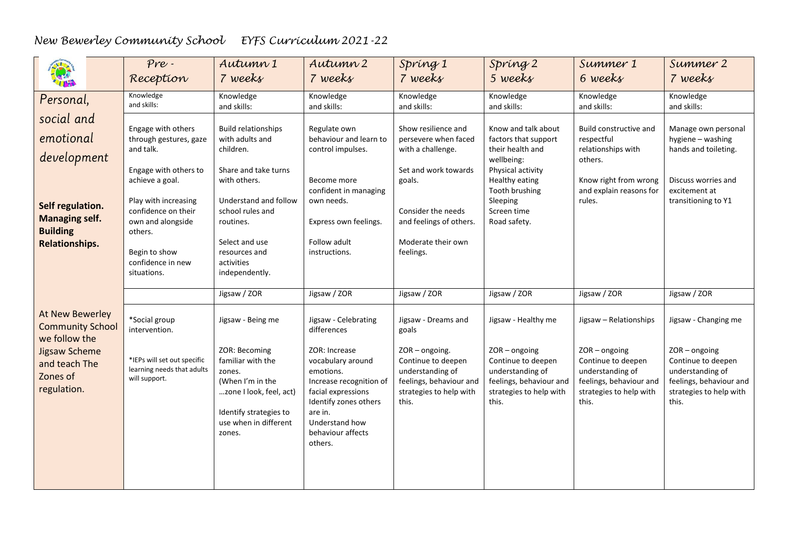| 第                                                                                     | Pre-<br>Reception                                                                                                                                   | Autumn 1<br>7 weeks                                                                                                                                      | Autumn 2<br>7 weeks                                                                                                                                                                    | Spring 1<br>7 weeks                                                                                                   | Spring 2<br>5 weeks                                                                                                      | Summer 1<br>6 weeks                                                                                                      | Summer 2<br>7 weeks                                                                                                      |
|---------------------------------------------------------------------------------------|-----------------------------------------------------------------------------------------------------------------------------------------------------|----------------------------------------------------------------------------------------------------------------------------------------------------------|----------------------------------------------------------------------------------------------------------------------------------------------------------------------------------------|-----------------------------------------------------------------------------------------------------------------------|--------------------------------------------------------------------------------------------------------------------------|--------------------------------------------------------------------------------------------------------------------------|--------------------------------------------------------------------------------------------------------------------------|
| Personal,                                                                             | Knowledge<br>and skills:                                                                                                                            | Knowledge<br>and skills:                                                                                                                                 | Knowledge<br>and skills:                                                                                                                                                               | Knowledge<br>and skills:                                                                                              | Knowledge<br>and skills:                                                                                                 | Knowledge<br>and skills:                                                                                                 | Knowledge<br>and skills:                                                                                                 |
| social and<br>emotional<br>development                                                | Engage with others<br>through gestures, gaze<br>and talk.<br>Engage with others to                                                                  | <b>Build relationships</b><br>with adults and<br>children.<br>Share and take turns                                                                       | Regulate own<br>behaviour and learn to<br>control impulses.                                                                                                                            | Show resilience and<br>persevere when faced<br>with a challenge.<br>Set and work towards                              | Know and talk about<br>factors that support<br>their health and<br>wellbeing:<br>Physical activity                       | Build constructive and<br>respectful<br>relationships with<br>others.                                                    | Manage own personal<br>hygiene - washing<br>hands and toileting.                                                         |
| Self regulation.<br><b>Managing self.</b><br><b>Building</b><br><b>Relationships.</b> | achieve a goal.<br>Play with increasing<br>confidence on their<br>own and alongside<br>others.<br>Begin to show<br>confidence in new<br>situations. | with others.<br>Understand and follow<br>school rules and<br>routines.<br>Select and use<br>resources and<br>activities<br>independently.                | Become more<br>confident in managing<br>own needs.<br>Express own feelings.<br>Follow adult<br>instructions.                                                                           | goals.<br>Consider the needs<br>and feelings of others.<br>Moderate their own<br>feelings.                            | Healthy eating<br>Tooth brushing<br>Sleeping<br>Screen time<br>Road safety.                                              | Know right from wrong<br>and explain reasons for<br>rules.                                                               | Discuss worries and<br>excitement at<br>transitioning to Y1                                                              |
|                                                                                       |                                                                                                                                                     | Jigsaw / ZOR                                                                                                                                             | Jigsaw / ZOR                                                                                                                                                                           | Jigsaw / ZOR                                                                                                          | Jigsaw / ZOR                                                                                                             | Jigsaw / ZOR                                                                                                             | Jigsaw / ZOR                                                                                                             |
| At New Bewerley<br><b>Community School</b><br>we follow the                           | *Social group<br>intervention.                                                                                                                      | Jigsaw - Being me                                                                                                                                        | Jigsaw - Celebrating<br>differences                                                                                                                                                    | Jigsaw - Dreams and<br>goals                                                                                          | Jigsaw - Healthy me                                                                                                      | Jigsaw - Relationships                                                                                                   | Jigsaw - Changing me                                                                                                     |
| <b>Jigsaw Scheme</b><br>and teach The<br>Zones of<br>regulation.                      | *IEPs will set out specific<br>learning needs that adults<br>will support.                                                                          | ZOR: Becoming<br>familiar with the<br>zones.<br>(When I'm in the<br>zone I look, feel, act)<br>Identify strategies to<br>use when in different<br>zones. | ZOR: Increase<br>vocabulary around<br>emotions.<br>Increase recognition of<br>facial expressions<br>Identify zones others<br>are in.<br>Understand how<br>behaviour affects<br>others. | ZOR-ongoing.<br>Continue to deepen<br>understanding of<br>feelings, behaviour and<br>strategies to help with<br>this. | $ZOR - ongoing$<br>Continue to deepen<br>understanding of<br>feelings, behaviour and<br>strategies to help with<br>this. | $ZOR - ongoing$<br>Continue to deepen<br>understanding of<br>feelings, behaviour and<br>strategies to help with<br>this. | $ZOR - ongoing$<br>Continue to deepen<br>understanding of<br>feelings, behaviour and<br>strategies to help with<br>this. |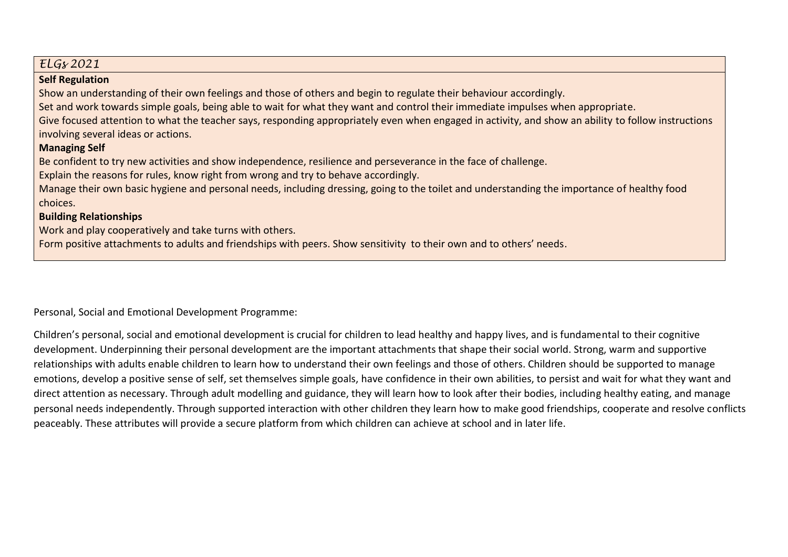| ELG <sub>8</sub> 2021                                                                                                                               |
|-----------------------------------------------------------------------------------------------------------------------------------------------------|
| <b>Self Regulation</b>                                                                                                                              |
| Show an understanding of their own feelings and those of others and begin to regulate their behaviour accordingly.                                  |
| Set and work towards simple goals, being able to wait for what they want and control their immediate impulses when appropriate.                     |
| Give focused attention to what the teacher says, responding appropriately even when engaged in activity, and show an ability to follow instructions |
| involving several ideas or actions.                                                                                                                 |
| <b>Managing Self</b>                                                                                                                                |
| Be confident to try new activities and show independence, resilience and perseverance in the face of challenge.                                     |
| Explain the reasons for rules, know right from wrong and try to behave accordingly.                                                                 |
| Manage their own basic hygiene and personal needs, including dressing, going to the toilet and understanding the importance of healthy food         |
| choices.                                                                                                                                            |
| <b>Building Relationships</b>                                                                                                                       |
| Work and play cooperatively and take turns with others.                                                                                             |
| Form positive attachments to adults and friendships with peers. Show sensitivity to their own and to others' needs.                                 |
|                                                                                                                                                     |

Personal, Social and Emotional Development Programme:

Children's personal, social and emotional development is crucial for children to lead healthy and happy lives, and is fundamental to their cognitive development. Underpinning their personal development are the important attachments that shape their social world. Strong, warm and supportive relationships with adults enable children to learn how to understand their own feelings and those of others. Children should be supported to manage emotions, develop a positive sense of self, set themselves simple goals, have confidence in their own abilities, to persist and wait for what they want and direct attention as necessary. Through adult modelling and guidance, they will learn how to look after their bodies, including healthy eating, and manage personal needs independently. Through supported interaction with other children they learn how to make good friendships, cooperate and resolve conflicts peaceably. These attributes will provide a secure platform from which children can achieve at school and in later life.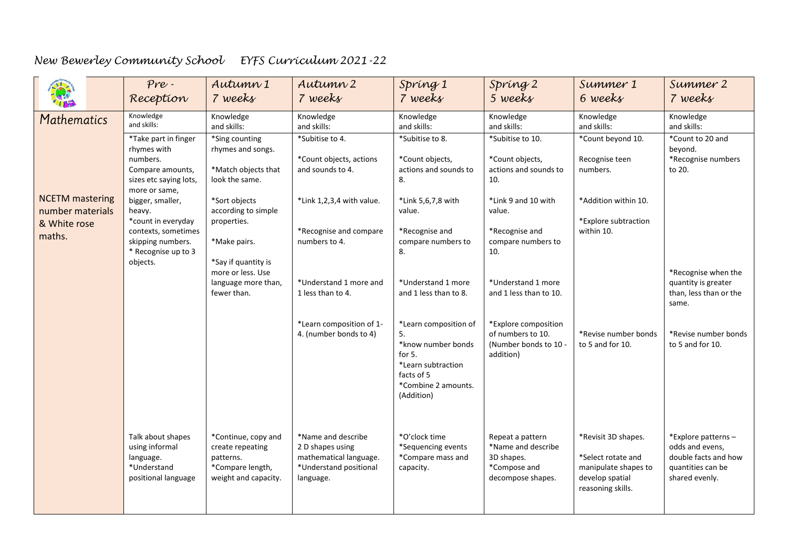|                                                                      | $Pre -$<br>Reception                                                                                                                             | Autumn 1<br>7 weeks                                                                              | Autumn 2<br>7 weeks                                                                                     | Spring 1<br>7 weeks                                                                                                                  | Spring 2<br>5 weeks                                                                       | Summer 1<br>6 weeks                                                                                       | Summer 2<br>7 weeks                                                                                  |
|----------------------------------------------------------------------|--------------------------------------------------------------------------------------------------------------------------------------------------|--------------------------------------------------------------------------------------------------|---------------------------------------------------------------------------------------------------------|--------------------------------------------------------------------------------------------------------------------------------------|-------------------------------------------------------------------------------------------|-----------------------------------------------------------------------------------------------------------|------------------------------------------------------------------------------------------------------|
| Mathematics                                                          | Knowledge<br>and skills:                                                                                                                         | Knowledge<br>and skills:                                                                         | Knowledge<br>and skills:                                                                                | Knowledge<br>and skills:                                                                                                             | Knowledge<br>and skills:                                                                  | Knowledge<br>and skills:                                                                                  | Knowledge<br>and skills:                                                                             |
|                                                                      | *Take part in finger<br>rhymes with<br>numbers.<br>Compare amounts,<br>sizes etc saying lots,                                                    | *Sing counting<br>rhymes and songs.<br>*Match objects that<br>look the same.                     | *Subitise to 4.<br>*Count objects, actions<br>and sounds to 4.                                          | *Subitise to 8.<br>*Count objects,<br>actions and sounds to<br>8.                                                                    | *Subitise to 10.<br>*Count objects,<br>actions and sounds to<br>10.                       | *Count beyond 10.<br>Recognise teen<br>numbers.                                                           | *Count to 20 and<br>beyond.<br>*Recognise numbers<br>to 20.                                          |
| <b>NCETM</b> mastering<br>number materials<br>& White rose<br>maths. | more or same,<br>bigger, smaller,<br>heavy.<br>*count in everyday<br>contexts, sometimes<br>skipping numbers.<br>* Recognise up to 3<br>objects. | *Sort objects<br>according to simple<br>properties.<br>*Make pairs.<br>*Say if quantity is       | *Link 1,2,3,4 with value.<br>*Recognise and compare<br>numbers to 4.                                    | *Link 5,6,7,8 with<br>value.<br>*Recognise and<br>compare numbers to<br>8.                                                           | *Link 9 and 10 with<br>value.<br>*Recognise and<br>compare numbers to<br>10.              | *Addition within 10.<br>*Explore subtraction<br>within 10.                                                |                                                                                                      |
|                                                                      |                                                                                                                                                  | more or less. Use<br>language more than,<br>fewer than.                                          | *Understand 1 more and<br>1 less than to 4.                                                             | *Understand 1 more<br>and 1 less than to 8.                                                                                          | *Understand 1 more<br>and 1 less than to 10.                                              |                                                                                                           | *Recognise when the<br>quantity is greater<br>than, less than or the<br>same.                        |
|                                                                      |                                                                                                                                                  |                                                                                                  | *Learn composition of 1-<br>4. (number bonds to 4)                                                      | *Learn composition of<br>5.<br>*know number bonds<br>for 5.<br>*Learn subtraction<br>facts of 5<br>*Combine 2 amounts.<br>(Addition) | *Explore composition<br>of numbers to 10.<br>(Number bonds to 10 -<br>addition)           | *Revise number bonds<br>to 5 and for 10.                                                                  | *Revise number bonds<br>to 5 and for 10.                                                             |
|                                                                      | Talk about shapes<br>using informal<br>language.<br>*Understand<br>positional language                                                           | *Continue, copy and<br>create repeating<br>patterns.<br>*Compare length,<br>weight and capacity. | *Name and describe<br>2 D shapes using<br>mathematical language.<br>*Understand positional<br>language. | *O'clock time<br>*Sequencing events<br>*Compare mass and<br>capacity.                                                                | Repeat a pattern<br>*Name and describe<br>3D shapes.<br>*Compose and<br>decompose shapes. | *Revisit 3D shapes.<br>*Select rotate and<br>manipulate shapes to<br>develop spatial<br>reasoning skills. | *Explore patterns-<br>odds and evens.<br>double facts and how<br>quantities can be<br>shared evenly. |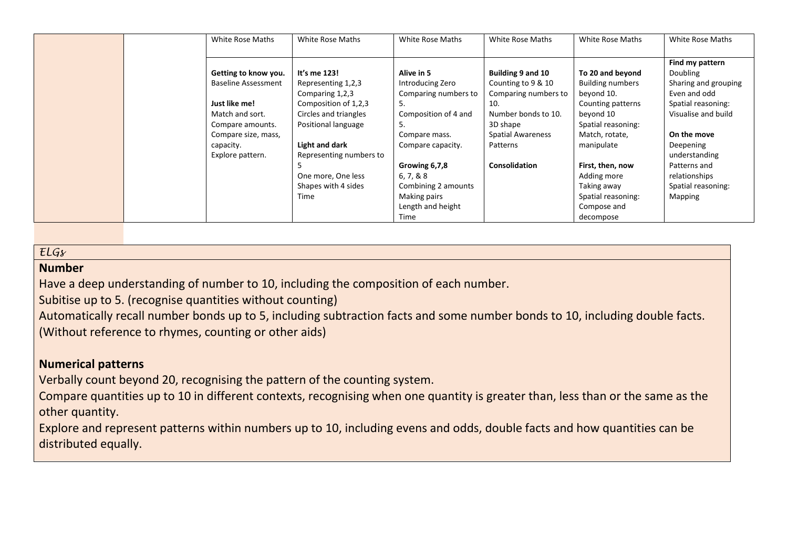|  | White Rose Maths           | White Rose Maths        | White Rose Maths     | White Rose Maths         | White Rose Maths        | White Rose Maths     |
|--|----------------------------|-------------------------|----------------------|--------------------------|-------------------------|----------------------|
|  |                            |                         |                      |                          |                         | Find my pattern      |
|  | Getting to know you.       | It's me 123!            | Alive in 5           | Building 9 and 10        | To 20 and beyond        | Doubling             |
|  | <b>Baseline Assessment</b> | Representing 1,2,3      | Introducing Zero     | Counting to 9 & 10       | <b>Building numbers</b> | Sharing and grouping |
|  |                            | Comparing 1,2,3         | Comparing numbers to | Comparing numbers to     | beyond 10.              | Even and odd         |
|  | Just like me!              | Composition of 1,2,3    | 5.                   | 10.                      | Counting patterns       | Spatial reasoning:   |
|  | Match and sort.            | Circles and triangles   | Composition of 4 and | Number bonds to 10.      | beyond 10               | Visualise and build  |
|  | Compare amounts.           | Positional language     | 5.                   | 3D shape                 | Spatial reasoning:      |                      |
|  | Compare size, mass,        |                         | Compare mass.        | <b>Spatial Awareness</b> | Match, rotate,          | On the move          |
|  | capacity.                  | Light and dark          | Compare capacity.    | Patterns                 | manipulate              | Deepening            |
|  | Explore pattern.           | Representing numbers to |                      |                          |                         | understanding        |
|  |                            |                         | Growing 6,7,8        | <b>Consolidation</b>     | First, then, now        | Patterns and         |
|  |                            | One more, One less      | 6, 7, 8, 8           |                          | Adding more             | relationships        |
|  |                            | Shapes with 4 sides     | Combining 2 amounts  |                          | Taking away             | Spatial reasoning:   |
|  |                            | Time                    | Making pairs         |                          | Spatial reasoning:      | Mapping              |
|  |                            |                         | Length and height    |                          | Compose and             |                      |
|  |                            |                         | Time                 |                          | decompose               |                      |

### *ELGs*

### **Number**

Have a deep understanding of number to 10, including the composition of each number.

Subitise up to 5. (recognise quantities without counting)

Automatically recall number bonds up to 5, including subtraction facts and some number bonds to 10, including double facts. (Without reference to rhymes, counting or other aids)

# **Numerical patterns**

Verbally count beyond 20, recognising the pattern of the counting system.

Compare quantities up to 10 in different contexts, recognising when one quantity is greater than, less than or the same as the other quantity.

Explore and represent patterns within numbers up to 10, including evens and odds, double facts and how quantities can be distributed equally.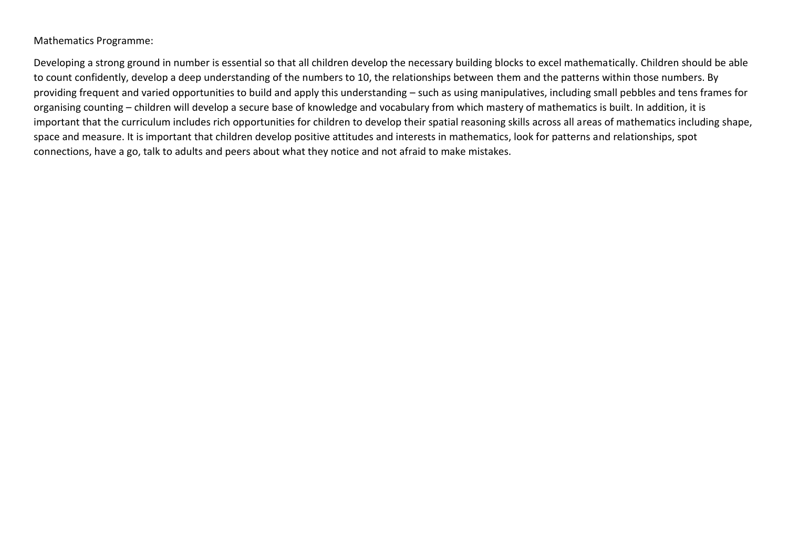#### Mathematics Programme:

Developing a strong ground in number is essential so that all children develop the necessary building blocks to excel mathematically. Children should be able to count confidently, develop a deep understanding of the numbers to 10, the relationships between them and the patterns within those numbers. By providing frequent and varied opportunities to build and apply this understanding – such as using manipulatives, including small pebbles and tens frames for organising counting – children will develop a secure base of knowledge and vocabulary from which mastery of mathematics is built. In addition, it is important that the curriculum includes rich opportunities for children to develop their spatial reasoning skills across all areas of mathematics including shape, space and measure. It is important that children develop positive attitudes and interests in mathematics, look for patterns and relationships, spot connections, have a go, talk to adults and peers about what they notice and not afraid to make mistakes.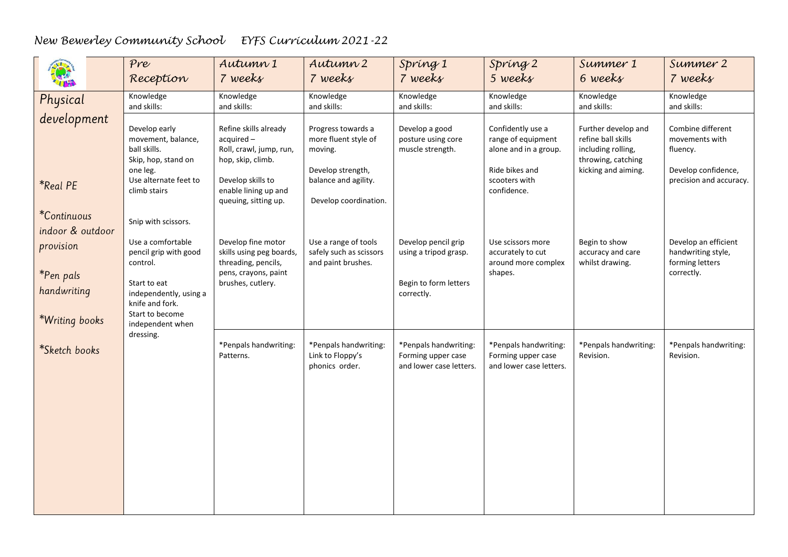|                                                                             | Pre<br>Reception                                                                                                                                           | Autumn 1<br>7 weeks                                                                                                                                     | Autumn 2<br>7 weeks                                                                                                         | Spring 1<br>7 weeks                                                                 | Spring 2<br>5 weeks                                                                                                | Summer 1<br>6 weeks                                                                                          | Summer 2<br>7 weeks                                                                               |
|-----------------------------------------------------------------------------|------------------------------------------------------------------------------------------------------------------------------------------------------------|---------------------------------------------------------------------------------------------------------------------------------------------------------|-----------------------------------------------------------------------------------------------------------------------------|-------------------------------------------------------------------------------------|--------------------------------------------------------------------------------------------------------------------|--------------------------------------------------------------------------------------------------------------|---------------------------------------------------------------------------------------------------|
| Physical                                                                    | Knowledge<br>and skills:                                                                                                                                   | Knowledge<br>and skills:                                                                                                                                | Knowledge<br>and skills:                                                                                                    | Knowledge<br>and skills:                                                            | Knowledge<br>and skills:                                                                                           | Knowledge<br>and skills:                                                                                     | Knowledge<br>and skills:                                                                          |
| development<br><i><b>*Real PE</b></i>                                       | Develop early<br>movement, balance,<br>ball skills.<br>Skip, hop, stand on<br>one leg.<br>Use alternate feet to<br>climb stairs                            | Refine skills already<br>acquired-<br>Roll, crawl, jump, run,<br>hop, skip, climb.<br>Develop skills to<br>enable lining up and<br>queuing, sitting up. | Progress towards a<br>more fluent style of<br>moving.<br>Develop strength,<br>balance and agility.<br>Develop coordination. | Develop a good<br>posture using core<br>muscle strength.                            | Confidently use a<br>range of equipment<br>alone and in a group.<br>Ride bikes and<br>scooters with<br>confidence. | Further develop and<br>refine ball skills<br>including rolling,<br>throwing, catching<br>kicking and aiming. | Combine different<br>movements with<br>fluency.<br>Develop confidence,<br>precision and accuracy. |
| <i>*Continuous</i>                                                          | Snip with scissors.                                                                                                                                        |                                                                                                                                                         |                                                                                                                             |                                                                                     |                                                                                                                    |                                                                                                              |                                                                                                   |
| indoor & outdoor<br>provision<br>*Pen pals<br>handwriting<br>*Writing books | Use a comfortable<br>pencil grip with good<br>control.<br>Start to eat<br>independently, using a<br>knife and fork.<br>Start to become<br>independent when | Develop fine motor<br>skills using peg boards,<br>threading, pencils,<br>pens, crayons, paint<br>brushes, cutlery.                                      | Use a range of tools<br>safely such as scissors<br>and paint brushes.                                                       | Develop pencil grip<br>using a tripod grasp.<br>Begin to form letters<br>correctly. | Use scissors more<br>accurately to cut<br>around more complex<br>shapes.                                           | Begin to show<br>accuracy and care<br>whilst drawing.                                                        | Develop an efficient<br>handwriting style,<br>forming letters<br>correctly.                       |
| *Sketch books                                                               | dressing.                                                                                                                                                  | *Penpals handwriting:<br>Patterns.                                                                                                                      | *Penpals handwriting:<br>Link to Floppy's<br>phonics order.                                                                 | *Penpals handwriting:<br>Forming upper case<br>and lower case letters.              | *Penpals handwriting:<br>Forming upper case<br>and lower case letters.                                             | *Penpals handwriting:<br>Revision.                                                                           | *Penpals handwriting:<br>Revision.                                                                |
|                                                                             |                                                                                                                                                            |                                                                                                                                                         |                                                                                                                             |                                                                                     |                                                                                                                    |                                                                                                              |                                                                                                   |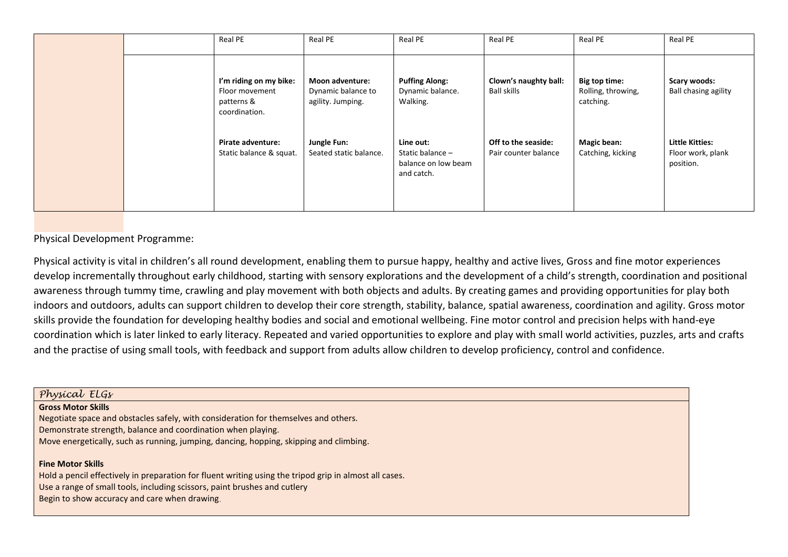|  | Real PE                                                                 | Real PE                                                           | Real PE                                                            | Real PE                                     | Real PE                                          | Real PE                                            |
|--|-------------------------------------------------------------------------|-------------------------------------------------------------------|--------------------------------------------------------------------|---------------------------------------------|--------------------------------------------------|----------------------------------------------------|
|  | I'm riding on my bike:<br>Floor movement<br>patterns &<br>coordination. | <b>Moon adventure:</b><br>Dynamic balance to<br>agility. Jumping. | <b>Puffing Along:</b><br>Dynamic balance.<br>Walking.              | Clown's naughty ball:<br>Ball skills        | Big top time:<br>Rolling, throwing,<br>catching. | <b>Scary woods:</b><br><b>Ball chasing agility</b> |
|  | Pirate adventure:<br>Static balance & squat.                            | Jungle Fun:<br>Seated static balance.                             | Line out:<br>Static balance -<br>balance on low beam<br>and catch. | Off to the seaside:<br>Pair counter balance | <b>Magic bean:</b><br>Catching, kicking          | Little Kitties:<br>Floor work, plank<br>position.  |

Physical Development Programme:

Physical activity is vital in children's all round development, enabling them to pursue happy, healthy and active lives, Gross and fine motor experiences develop incrementally throughout early childhood, starting with sensory explorations and the development of a child's strength, coordination and positional awareness through tummy time, crawling and play movement with both objects and adults. By creating games and providing opportunities for play both indoors and outdoors, adults can support children to develop their core strength, stability, balance, spatial awareness, coordination and agility. Gross motor skills provide the foundation for developing healthy bodies and social and emotional wellbeing. Fine motor control and precision helps with hand-eye coordination which is later linked to early literacy. Repeated and varied opportunities to explore and play with small world activities, puzzles, arts and crafts and the practise of using small tools, with feedback and support from adults allow children to develop proficiency, control and confidence.

| Physical ELGs                                                                                          |
|--------------------------------------------------------------------------------------------------------|
| <b>Gross Motor Skills</b>                                                                              |
| Negotiate space and obstacles safely, with consideration for themselves and others.                    |
| Demonstrate strength, balance and coordination when playing.                                           |
| Move energetically, such as running, jumping, dancing, hopping, skipping and climbing.                 |
| <b>Fine Motor Skills</b>                                                                               |
| Hold a pencil effectively in preparation for fluent writing using the tripod grip in almost all cases. |
| Use a range of small tools, including scissors, paint brushes and cutlery                              |
| Begin to show accuracy and care when drawing.                                                          |
|                                                                                                        |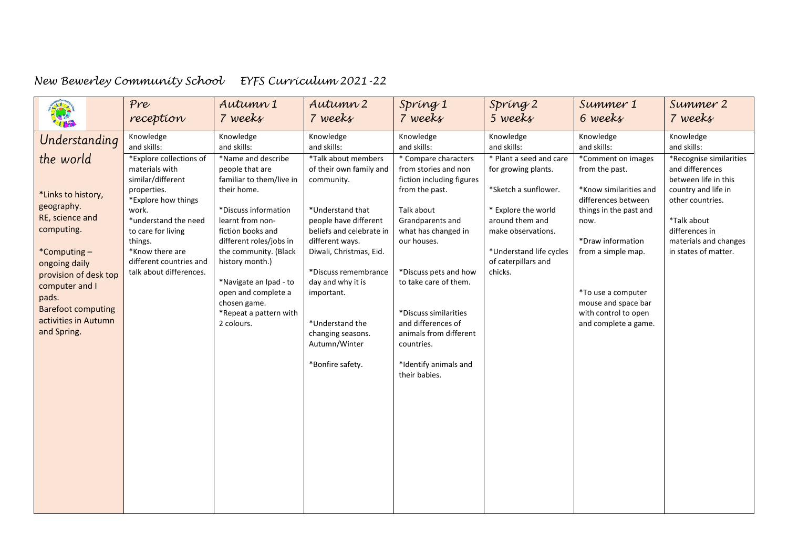|                                                                                                                                                                                                                                                         | Pre                                                                                                                                                                                                                                                            | Autumn 1                                                                                                                                                                                                                                                                                                                                         | Autumn 2                                                                                                                                                                                                                                                                                                                                   | Spring 1                                                                                                                                                                                                                                                                                                                                                              | Spring 2                                                                                                                                                                                                           | Summer 1                                                                                                                                                                                                                                                                       | Summer 2                                                                                                                                                                                                       |
|---------------------------------------------------------------------------------------------------------------------------------------------------------------------------------------------------------------------------------------------------------|----------------------------------------------------------------------------------------------------------------------------------------------------------------------------------------------------------------------------------------------------------------|--------------------------------------------------------------------------------------------------------------------------------------------------------------------------------------------------------------------------------------------------------------------------------------------------------------------------------------------------|--------------------------------------------------------------------------------------------------------------------------------------------------------------------------------------------------------------------------------------------------------------------------------------------------------------------------------------------|-----------------------------------------------------------------------------------------------------------------------------------------------------------------------------------------------------------------------------------------------------------------------------------------------------------------------------------------------------------------------|--------------------------------------------------------------------------------------------------------------------------------------------------------------------------------------------------------------------|--------------------------------------------------------------------------------------------------------------------------------------------------------------------------------------------------------------------------------------------------------------------------------|----------------------------------------------------------------------------------------------------------------------------------------------------------------------------------------------------------------|
|                                                                                                                                                                                                                                                         | reception                                                                                                                                                                                                                                                      | 7 weeks                                                                                                                                                                                                                                                                                                                                          | 7 weeks                                                                                                                                                                                                                                                                                                                                    | 7 weeks                                                                                                                                                                                                                                                                                                                                                               | 5 weeks                                                                                                                                                                                                            | 6 weeks                                                                                                                                                                                                                                                                        | 7 weeks                                                                                                                                                                                                        |
|                                                                                                                                                                                                                                                         | Knowledge                                                                                                                                                                                                                                                      | Knowledge                                                                                                                                                                                                                                                                                                                                        | Knowledge                                                                                                                                                                                                                                                                                                                                  | Knowledge                                                                                                                                                                                                                                                                                                                                                             | Knowledge                                                                                                                                                                                                          | Knowledge                                                                                                                                                                                                                                                                      | Knowledge                                                                                                                                                                                                      |
| Understanding<br>the world<br>*Links to history,<br>geography.<br>RE, science and<br>computing.<br>*Computing-<br>ongoing daily<br>provision of desk top<br>computer and I<br>pads.<br><b>Barefoot computing</b><br>activities in Autumn<br>and Spring. | and skills:<br>*Explore collections of<br>materials with<br>similar/different<br>properties.<br>*Explore how things<br>work.<br>*understand the need<br>to care for living<br>things.<br>*Know there are<br>different countries and<br>talk about differences. | and skills:<br>*Name and describe<br>people that are<br>familiar to them/live in<br>their home.<br>*Discuss information<br>learnt from non-<br>fiction books and<br>different roles/jobs in<br>the community. (Black<br>history month.)<br>*Navigate an Ipad - to<br>open and complete a<br>chosen game.<br>*Repeat a pattern with<br>2 colours. | and skills:<br>*Talk about members<br>of their own family and<br>community.<br>*Understand that<br>people have different<br>beliefs and celebrate in<br>different ways.<br>Diwali, Christmas, Eid.<br>*Discuss remembrance<br>day and why it is<br>important.<br>*Understand the<br>changing seasons.<br>Autumn/Winter<br>*Bonfire safety. | and skills:<br>* Compare characters<br>from stories and non<br>fiction including figures<br>from the past.<br>Talk about<br>Grandparents and<br>what has changed in<br>our houses.<br>*Discuss pets and how<br>to take care of them.<br>*Discuss similarities<br>and differences of<br>animals from different<br>countries.<br>*Identify animals and<br>their babies. | and skills:<br>* Plant a seed and care<br>for growing plants.<br>*Sketch a sunflower.<br>* Explore the world<br>around them and<br>make observations.<br>*Understand life cycles<br>of caterpillars and<br>chicks. | and skills:<br>*Comment on images<br>from the past.<br>*Know similarities and<br>differences between<br>things in the past and<br>now.<br>*Draw information<br>from a simple map.<br>*To use a computer<br>mouse and space bar<br>with control to open<br>and complete a game. | and skills:<br>*Recognise similarities<br>and differences<br>between life in this<br>country and life in<br>other countries.<br>*Talk about<br>differences in<br>materials and changes<br>in states of matter. |
|                                                                                                                                                                                                                                                         |                                                                                                                                                                                                                                                                |                                                                                                                                                                                                                                                                                                                                                  |                                                                                                                                                                                                                                                                                                                                            |                                                                                                                                                                                                                                                                                                                                                                       |                                                                                                                                                                                                                    |                                                                                                                                                                                                                                                                                |                                                                                                                                                                                                                |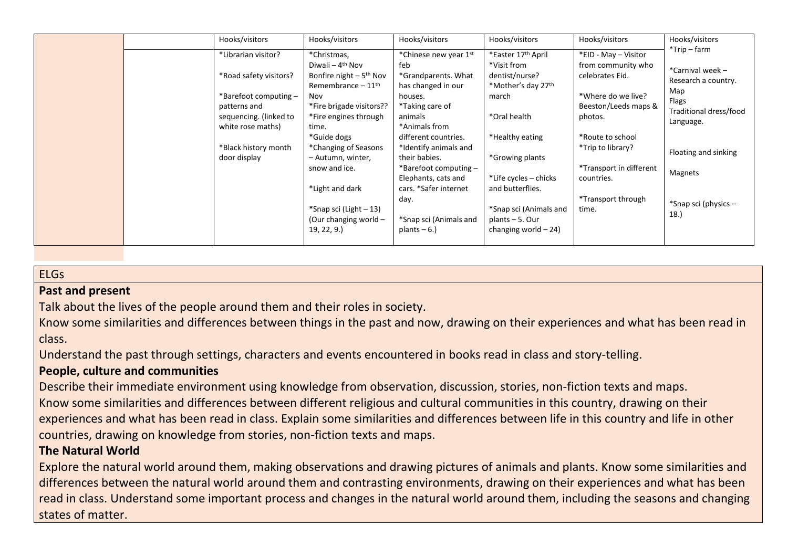| $*$ Trip – farm<br>*Easter 17th April<br>*Librarian visitor?<br>*Christmas,<br>*Chinese new year 1st<br>*EID - May - Visitor<br>Diwali – $4th$ Nov<br>feb<br>*Visit from<br>from community who<br>*Carnival week -<br>*Road safety visitors?<br>Bonfire night $-5$ <sup>th</sup> Nov<br>*Grandparents. What<br>dentist/nurse?<br>celebrates Eid.<br>Research a country.<br>*Mother's day 27 <sup>th</sup><br>Remembrance $-11th$<br>has changed in our<br>Map<br>*Barefoot computing -<br>*Where do we live?<br>Nov<br>houses.<br>march<br>Flags<br>*Fire brigade visitors??<br>*Taking care of<br>Beeston/Leeds maps &<br>patterns and<br>Traditional dress/food<br>*Oral health<br>sequencing. (linked to<br>*Fire engines through<br>animals<br>photos.<br>Language.<br>*Animals from<br>white rose maths)<br>time.<br>*Guide dogs<br>*Healthy eating<br>*Route to school<br>different countries.<br>*Black history month<br>*Changing of Seasons<br>*Identify animals and<br>*Trip to library?<br>Floating and sinking<br>*Growing plants<br>door display<br>their babies.<br>- Autumn, winter,<br>*Transport in different<br>*Barefoot computing -<br>snow and ice.<br>Magnets<br>*Life cycles – chicks<br>Elephants, cats and<br>countries.<br>*Light and dark<br>cars. *Safer internet<br>and butterflies.<br>*Transport through<br>day.<br>*Snap sci (physics -<br>*Snap sci (Light - 13)<br>*Snap sci (Animals and<br>time.<br>18. |
|---------------------------------------------------------------------------------------------------------------------------------------------------------------------------------------------------------------------------------------------------------------------------------------------------------------------------------------------------------------------------------------------------------------------------------------------------------------------------------------------------------------------------------------------------------------------------------------------------------------------------------------------------------------------------------------------------------------------------------------------------------------------------------------------------------------------------------------------------------------------------------------------------------------------------------------------------------------------------------------------------------------------------------------------------------------------------------------------------------------------------------------------------------------------------------------------------------------------------------------------------------------------------------------------------------------------------------------------------------------------------------------------------------------------------------------------|
| (Our changing world -<br>*Snap sci (Animals and<br>plants $-5.$ Our<br>19, 22, 9.<br>changing world $-24$ )<br>plants $-6.$ )                                                                                                                                                                                                                                                                                                                                                                                                                                                                                                                                                                                                                                                                                                                                                                                                                                                                                                                                                                                                                                                                                                                                                                                                                                                                                                               |

# ELGs

### **Past and present**

Talk about the lives of the people around them and their roles in society.

Know some similarities and differences between things in the past and now, drawing on their experiences and what has been read in class.

Understand the past through settings, characters and events encountered in books read in class and story-telling.

### **People, culture and communities**

Describe their immediate environment using knowledge from observation, discussion, stories, non-fiction texts and maps. Know some similarities and differences between different religious and cultural communities in this country, drawing on their experiences and what has been read in class. Explain some similarities and differences between life in this country and life in other countries, drawing on knowledge from stories, non-fiction texts and maps.

### **The Natural World**

Explore the natural world around them, making observations and drawing pictures of animals and plants. Know some similarities and differences between the natural world around them and contrasting environments, drawing on their experiences and what has been read in class. Understand some important process and changes in the natural world around them, including the seasons and changing states of matter.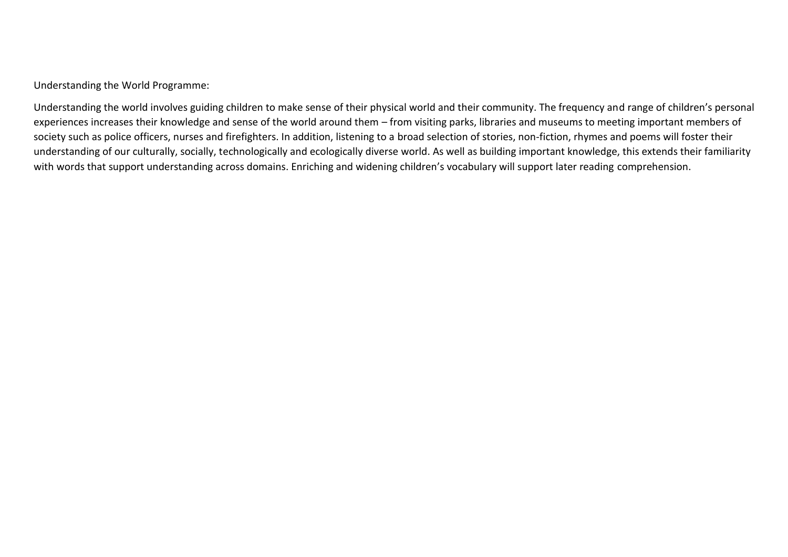Understanding the World Programme:

Understanding the world involves guiding children to make sense of their physical world and their community. The frequency and range of children's personal experiences increases their knowledge and sense of the world around them – from visiting parks, libraries and museums to meeting important members of society such as police officers, nurses and firefighters. In addition, listening to a broad selection of stories, non-fiction, rhymes and poems will foster their understanding of our culturally, socially, technologically and ecologically diverse world. As well as building important knowledge, this extends their familiarity with words that support understanding across domains. Enriching and widening children's vocabulary will support later reading comprehension.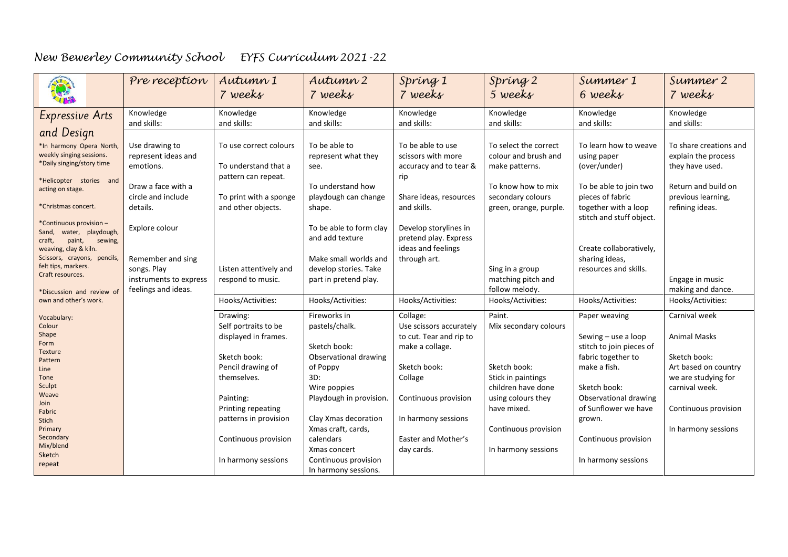| 第                                                                                               | Pre reception                                 | Autumn 1<br>7 weeks                                      | Autumn 2<br>7 weeks                                          | Spring 1<br>7 weeks                                                   | Spring 2<br>5 weeks                                       | Summer 1<br>6 weeks                                                  | Summer 2<br>7 weeks                                       |
|-------------------------------------------------------------------------------------------------|-----------------------------------------------|----------------------------------------------------------|--------------------------------------------------------------|-----------------------------------------------------------------------|-----------------------------------------------------------|----------------------------------------------------------------------|-----------------------------------------------------------|
| <b>Expressive Arts</b>                                                                          | Knowledge<br>and skills:                      | Knowledge<br>and skills:                                 | Knowledge<br>and skills:                                     | Knowledge<br>and skills:                                              | Knowledge<br>and skills:                                  | Knowledge<br>and skills:                                             | Knowledge<br>and skills:                                  |
| and Design<br>*In harmony Opera North,<br>weekly singing sessions.                              | Use drawing to<br>represent ideas and         | To use correct colours                                   | To be able to<br>represent what they                         | To be able to use<br>scissors with more                               | To select the correct<br>colour and brush and             | To learn how to weave<br>using paper                                 | To share creations and<br>explain the process             |
| *Daily singing/story time<br>*Helicopter stories and<br>acting on stage.                        | emotions.<br>Draw a face with a               | To understand that a<br>pattern can repeat.              | see.<br>To understand how                                    | accuracy and to tear &<br>rip                                         | make patterns.<br>To know how to mix                      | (over/under)<br>To be able to join two                               | they have used.<br>Return and build on                    |
| *Christmas concert.                                                                             | circle and include<br>details.                | To print with a sponge<br>and other objects.             | playdough can change<br>shape.                               | Share ideas, resources<br>and skills.                                 | secondary colours<br>green, orange, purple.               | pieces of fabric<br>together with a loop<br>stitch and stuff object. | previous learning,<br>refining ideas.                     |
| *Continuous provision -<br>Sand, water, playdough,<br>craft,<br>paint,<br>sewing,               | Explore colour                                |                                                          | To be able to form clay<br>and add texture                   | Develop storylines in<br>pretend play. Express<br>ideas and feelings  |                                                           | Create collaboratively,                                              |                                                           |
| weaving, clay & kiln.<br>Scissors, crayons, pencils,<br>felt tips, markers.<br>Craft resources. | Remember and sing<br>songs. Play              | Listen attentively and                                   | Make small worlds and<br>develop stories. Take               | through art.                                                          | Sing in a group                                           | sharing ideas,<br>resources and skills.                              |                                                           |
| *Discussion and review of<br>own and other's work.                                              | instruments to express<br>feelings and ideas. | respond to music.<br>Hooks/Activities:                   | part in pretend play.<br>Hooks/Activities:                   | Hooks/Activities:                                                     | matching pitch and<br>follow melody.<br>Hooks/Activities: | Hooks/Activities:                                                    | Engage in music<br>making and dance.<br>Hooks/Activities: |
| Vocabulary:                                                                                     |                                               | Drawing:                                                 | Fireworks in                                                 | Collage:                                                              | Paint.                                                    | Paper weaving                                                        | Carnival week                                             |
| Colour<br>Shape<br>Form                                                                         |                                               | Self portraits to be<br>displayed in frames.             | pastels/chalk.<br>Sketch book:                               | Use scissors accurately<br>to cut. Tear and rip to<br>make a collage. | Mix secondary colours                                     | Sewing - use a loop<br>stitch to join pieces of                      | <b>Animal Masks</b>                                       |
| <b>Texture</b><br>Pattern<br>Line                                                               |                                               | Sketch book:<br>Pencil drawing of                        | Observational drawing<br>of Poppy                            | Sketch book:                                                          | Sketch book:                                              | fabric together to<br>make a fish.                                   | Sketch book:<br>Art based on country                      |
| Tone<br>Sculpt<br>Weave                                                                         |                                               | themselves.                                              | 3D:<br>Wire poppies                                          | Collage                                                               | Stick in paintings<br>children have done                  | Sketch book:                                                         | we are studying for<br>carnival week.                     |
| Join<br>Fabric                                                                                  |                                               | Painting:<br>Printing repeating<br>patterns in provision | Playdough in provision.<br>Clay Xmas decoration              | Continuous provision<br>In harmony sessions                           | using colours they<br>have mixed.                         | Observational drawing<br>of Sunflower we have<br>grown.              | Continuous provision                                      |
| Stich<br>Primary<br>Secondary                                                                   |                                               | Continuous provision                                     | Xmas craft, cards,<br>calendars                              | Easter and Mother's                                                   | Continuous provision                                      | Continuous provision                                                 | In harmony sessions                                       |
| Mix/blend<br>Sketch<br>repeat                                                                   |                                               | In harmony sessions                                      | Xmas concert<br>Continuous provision<br>In harmony sessions. | day cards.                                                            | In harmony sessions                                       | In harmony sessions                                                  |                                                           |